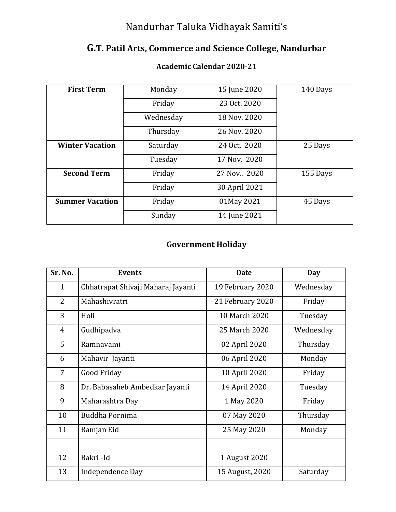## Nandurbar Taluka Vidhayak Samiti's

## **G.T. Patil Arts, Commerce and Science College, Nandurbar**

| <b>First Term</b>      | Monday    | 15 June 2020  | 140 Days |
|------------------------|-----------|---------------|----------|
|                        | Friday    | 23 Oct. 2020  |          |
|                        | Wednesday | 18 Nov. 2020  |          |
|                        | Thursday  | 26 Nov. 2020  |          |
| <b>Winter Vacation</b> | Saturday  | 24 Oct. 2020  | 25 Days  |
|                        | Tuesday   | 17 Nov. 2020  |          |
| <b>Second Term</b>     | Friday    | 27 Nov., 2020 | 155 Days |
|                        | Friday    | 30 April 2021 |          |
| <b>Summer Vacation</b> | Friday    | 01May 2021    | 45 Days  |
|                        | Sunday    | 14 June 2021  |          |

## **Academic Calendar 2020-21**

## **Government Holiday**

| Sr. No.        | <b>Events</b>                      | <b>Date</b>      | <b>Day</b> |
|----------------|------------------------------------|------------------|------------|
| $\mathbf{1}$   | Chhatrapat Shivaji Maharaj Jayanti | 19 February 2020 | Wednesday  |
| $\overline{2}$ | Mahashivratri                      | 21 February 2020 | Friday     |
| 3              | Holi                               | 10 March 2020    | Tuesday    |
| 4              | Gudhipadva                         | 25 March 2020    | Wednesday  |
| 5              | Ramnavami                          | 02 April 2020    | Thursday   |
| 6              | Mahavir Jayanti                    | 06 April 2020    | Monday     |
| 7              | Good Friday                        | 10 April 2020    | Friday     |
| 8              | Dr. Babasaheb Ambedkar Jayanti     | 14 April 2020    | Tuesday    |
| 9              | Maharashtra Day                    | 1 May 2020       | Friday     |
| 10             | Buddha Pornima                     | 07 May 2020      | Thursday   |
| 11             | Ramjan Eid                         | 25 May 2020      | Monday     |
|                |                                    |                  |            |
| 12             | Bakri-Id                           | 1 August 2020    |            |
| 13             | Independence Day                   | 15 August, 2020  | Saturday   |